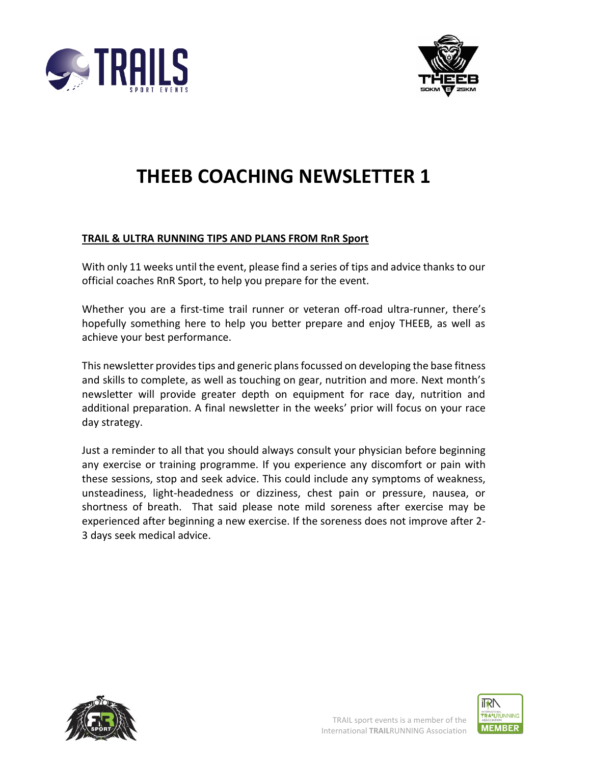



# **THEEB COACHING NEWSLETTER 1**

#### **TRAIL & ULTRA RUNNING TIPS AND PLANS FROM RnR Sport**

With only 11 weeks until the event, please find a series of tips and advice thanks to our official coaches RnR Sport, to help you prepare for the event.

Whether you are a first-time trail runner or veteran off-road ultra-runner, there's hopefully something here to help you better prepare and enjoy THEEB, as well as achieve your best performance.

This newsletter provides tips and generic plans focussed on developing the base fitness and skills to complete, as well as touching on gear, nutrition and more. Next month's newsletter will provide greater depth on equipment for race day, nutrition and additional preparation. A final newsletter in the weeks' prior will focus on your race day strategy.

Just a reminder to all that you should always consult your physician before beginning any exercise or training programme. If you experience any discomfort or pain with these sessions, stop and seek advice. This could include any symptoms of weakness, unsteadiness, light-headedness or dizziness, chest pain or pressure, nausea, or shortness of breath. That said please note mild soreness after exercise may be experienced after beginning a new exercise. If the soreness does not improve after 2- 3 days seek medical advice.





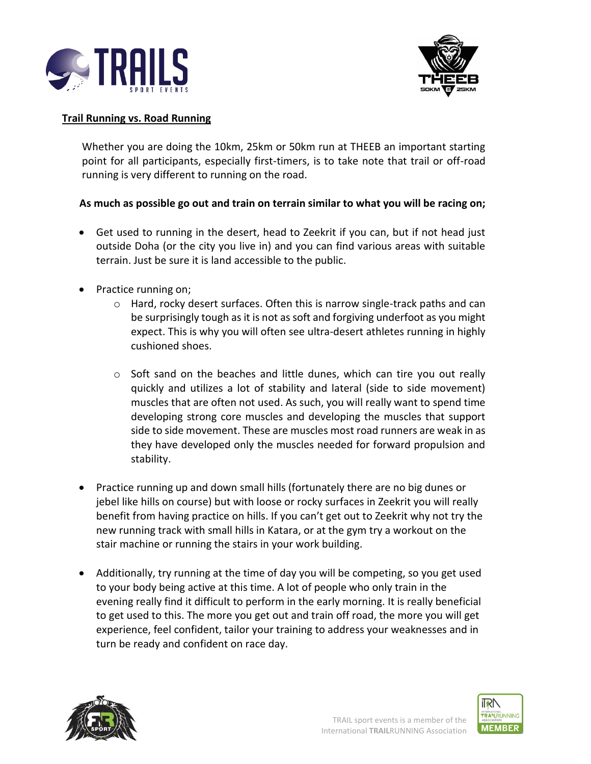



### **Trail Running vs. Road Running**

Whether you are doing the 10km, 25km or 50km run at THEEB an important starting point for all participants, especially first-timers, is to take note that trail or off-road running is very different to running on the road.

# **As much as possible go out and train on terrain similar to what you will be racing on;**

- Get used to running in the desert, head to Zeekrit if you can, but if not head just outside Doha (or the city you live in) and you can find various areas with suitable terrain. Just be sure it is land accessible to the public.
- Practice running on;
	- o Hard, rocky desert surfaces. Often this is narrow single-track paths and can be surprisingly tough as it is not as soft and forgiving underfoot as you might expect. This is why you will often see ultra-desert athletes running in highly cushioned shoes.
	- $\circ$  Soft sand on the beaches and little dunes, which can tire you out really quickly and utilizes a lot of stability and lateral (side to side movement) muscles that are often not used. As such, you will really want to spend time developing strong core muscles and developing the muscles that support side to side movement. These are muscles most road runners are weak in as they have developed only the muscles needed for forward propulsion and stability.
- Practice running up and down small hills (fortunately there are no big dunes or jebel like hills on course) but with loose or rocky surfaces in Zeekrit you will really benefit from having practice on hills. If you can't get out to Zeekrit why not try the new running track with small hills in Katara, or at the gym try a workout on the stair machine or running the stairs in your work building.
- Additionally, try running at the time of day you will be competing, so you get used to your body being active at this time. A lot of people who only train in the evening really find it difficult to perform in the early morning. It is really beneficial to get used to this. The more you get out and train off road, the more you will get experience, feel confident, tailor your training to address your weaknesses and in turn be ready and confident on race day.



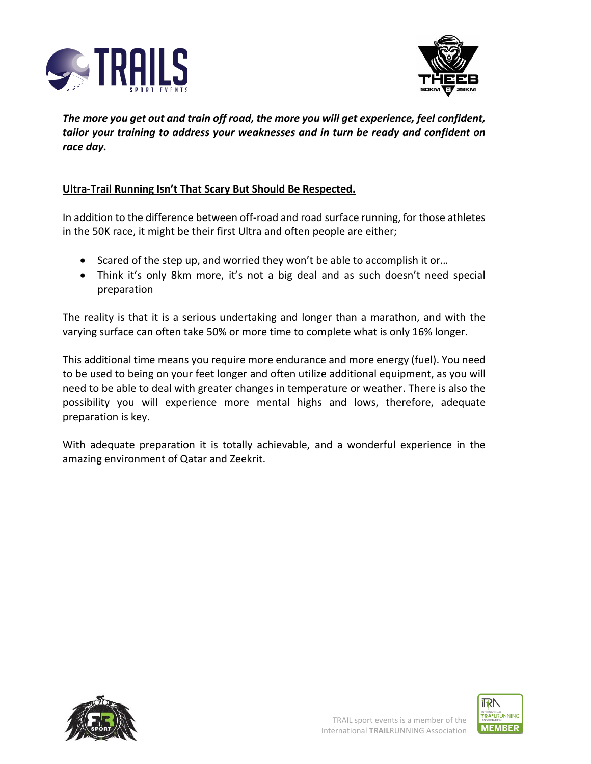



*The more you get out and train off road, the more you will get experience, feel confident, tailor your training to address your weaknesses and in turn be ready and confident on race day.*

### **Ultra-Trail Running Isn't That Scary But Should Be Respected.**

In addition to the difference between off-road and road surface running, for those athletes in the 50K race, it might be their first Ultra and often people are either;

- Scared of the step up, and worried they won't be able to accomplish it or…
- Think it's only 8km more, it's not a big deal and as such doesn't need special preparation

The reality is that it is a serious undertaking and longer than a marathon, and with the varying surface can often take 50% or more time to complete what is only 16% longer.

This additional time means you require more endurance and more energy (fuel). You need to be used to being on your feet longer and often utilize additional equipment, as you will need to be able to deal with greater changes in temperature or weather. There is also the possibility you will experience more mental highs and lows, therefore, adequate preparation is key.

With adequate preparation it is totally achievable, and a wonderful experience in the amazing environment of Qatar and Zeekrit.



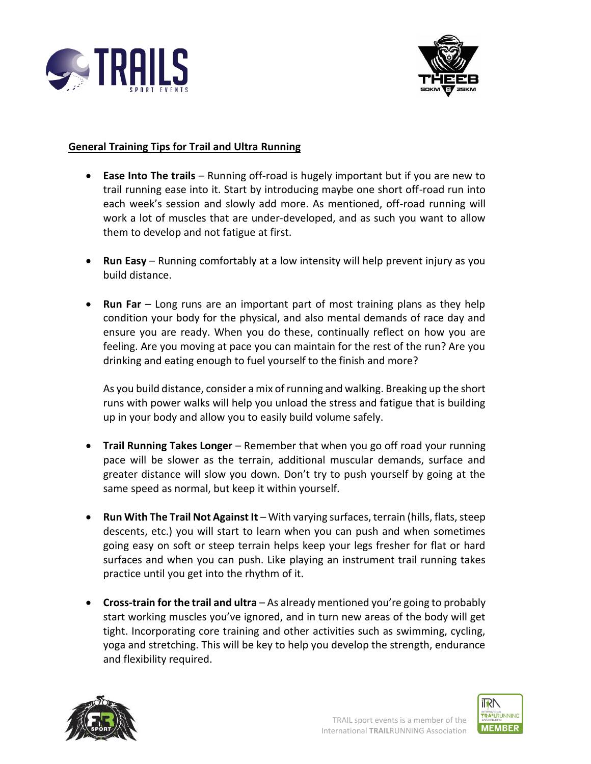



### **General Training Tips for Trail and Ultra Running**

- **Ease Into The trails** Running off-road is hugely important but if you are new to trail running ease into it. Start by introducing maybe one short off-road run into each week's session and slowly add more. As mentioned, off-road running will work a lot of muscles that are under-developed, and as such you want to allow them to develop and not fatigue at first.
- **Run Easy** Running comfortably at a low intensity will help prevent injury as you build distance.
- **Run Far** Long runs are an important part of most training plans as they help condition your body for the physical, and also mental demands of race day and ensure you are ready. When you do these, continually reflect on how you are feeling. Are you moving at pace you can maintain for the rest of the run? Are you drinking and eating enough to fuel yourself to the finish and more?

As you build distance, consider a mix of running and walking. Breaking up the short runs with power walks will help you unload the stress and fatigue that is building up in your body and allow you to easily build volume safely.

- **Trail Running Takes Longer** Remember that when you go off road your running pace will be slower as the terrain, additional muscular demands, surface and greater distance will slow you down. Don't try to push yourself by going at the same speed as normal, but keep it within yourself.
- **Run With The Trail Not Against It** With varying surfaces, terrain (hills, flats, steep descents, etc.) you will start to learn when you can push and when sometimes going easy on soft or steep terrain helps keep your legs fresher for flat or hard surfaces and when you can push. Like playing an instrument trail running takes practice until you get into the rhythm of it.
- **Cross-train for the trail and ultra** As already mentioned you're going to probably start working muscles you've ignored, and in turn new areas of the body will get tight. Incorporating core training and other activities such as swimming, cycling, yoga and stretching. This will be key to help you develop the strength, endurance and flexibility required.



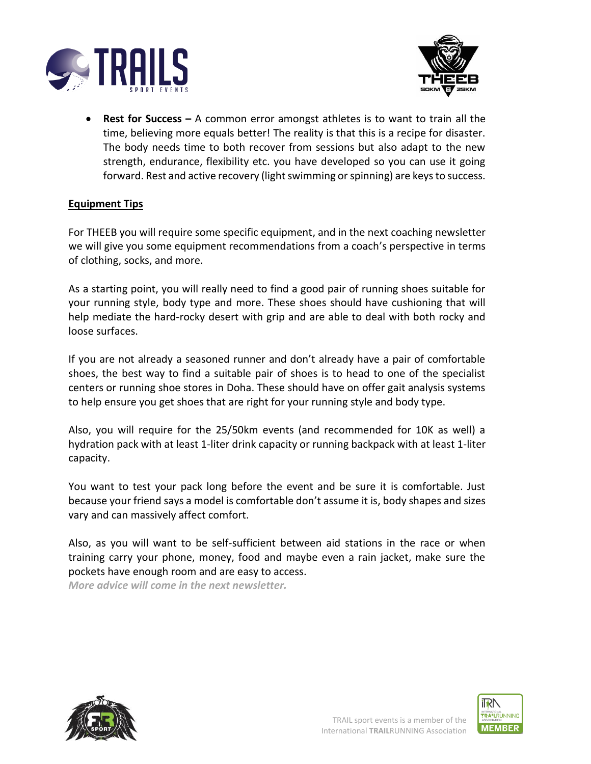



• **Rest for Success –** A common error amongst athletes is to want to train all the time, believing more equals better! The reality is that this is a recipe for disaster. The body needs time to both recover from sessions but also adapt to the new strength, endurance, flexibility etc. you have developed so you can use it going forward. Rest and active recovery (light swimming or spinning) are keys to success.

#### **Equipment Tips**

For THEEB you will require some specific equipment, and in the next coaching newsletter we will give you some equipment recommendations from a coach's perspective in terms of clothing, socks, and more.

As a starting point, you will really need to find a good pair of running shoes suitable for your running style, body type and more. These shoes should have cushioning that will help mediate the hard-rocky desert with grip and are able to deal with both rocky and loose surfaces.

If you are not already a seasoned runner and don't already have a pair of comfortable shoes, the best way to find a suitable pair of shoes is to head to one of the specialist centers or running shoe stores in Doha. These should have on offer gait analysis systems to help ensure you get shoes that are right for your running style and body type.

Also, you will require for the 25/50km events (and recommended for 10K as well) a hydration pack with at least 1-liter drink capacity or running backpack with at least 1-liter capacity.

You want to test your pack long before the event and be sure it is comfortable. Just because your friend says a model is comfortable don't assume it is, body shapes and sizes vary and can massively affect comfort.

Also, as you will want to be self-sufficient between aid stations in the race or when training carry your phone, money, food and maybe even a rain jacket, make sure the pockets have enough room and are easy to access.

*More advice will come in the next newsletter.*



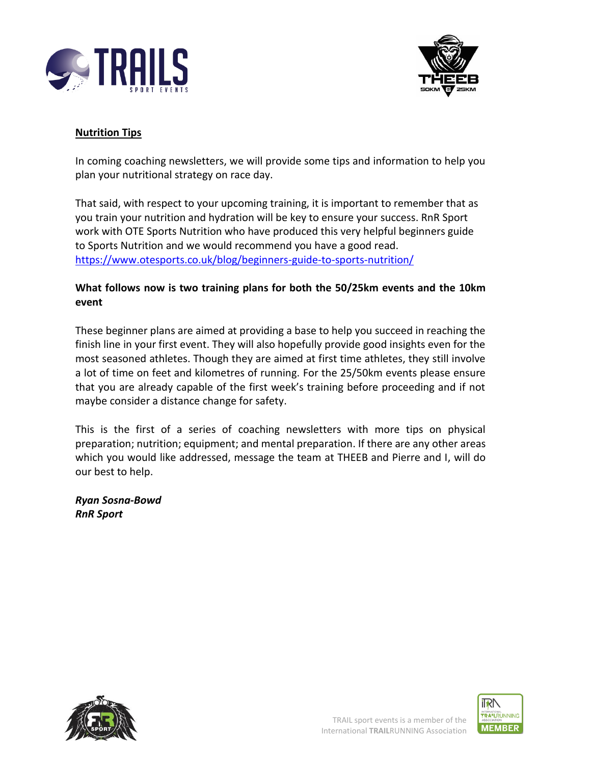



# **Nutrition Tips**

In coming coaching newsletters, we will provide some tips and information to help you plan your nutritional strategy on race day.

That said, with respect to your upcoming training, it is important to remember that as you train your nutrition and hydration will be key to ensure your success. RnR Sport work with OTE Sports Nutrition who have produced this very helpful beginners guide to Sports Nutrition and we would recommend you have a good read. <https://www.otesports.co.uk/blog/beginners-guide-to-sports-nutrition/>

# **What follows now is two training plans for both the 50/25km events and the 10km event**

These beginner plans are aimed at providing a base to help you succeed in reaching the finish line in your first event. They will also hopefully provide good insights even for the most seasoned athletes. Though they are aimed at first time athletes, they still involve a lot of time on feet and kilometres of running. For the 25/50km events please ensure that you are already capable of the first week's training before proceeding and if not maybe consider a distance change for safety.

This is the first of a series of coaching newsletters with more tips on physical preparation; nutrition; equipment; and mental preparation. If there are any other areas which you would like addressed, message the team at THEEB and Pierre and I, will do our best to help.

*Ryan Sosna-Bowd RnR Sport*





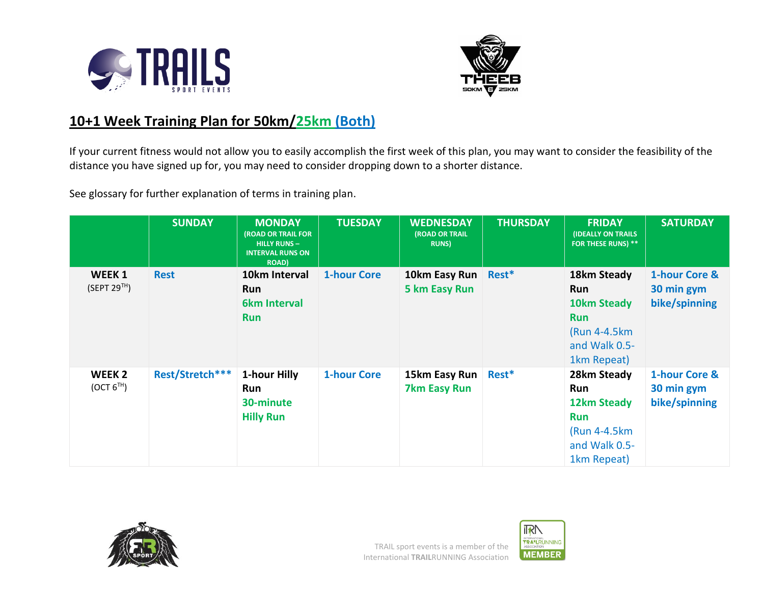



# **10+1 Week Training Plan for 50km/25km (Both)**

If your current fitness would not allow you to easily accomplish the first week of this plan, you may want to consider the feasibility of the distance you have signed up for, you may need to consider dropping down to a shorter distance.

See glossary for further explanation of terms in training plan.

|                                             | <b>SUNDAY</b>   | <b>MONDAY</b><br>(ROAD OR TRAIL FOR<br><b>HILLY RUNS-</b><br><b>INTERVAL RUNS ON</b><br><b>ROAD</b> ) | <b>TUESDAY</b>     | <b>WEDNESDAY</b><br>(ROAD OR TRAIL<br><b>RUNS</b> ) | <b>THURSDAY</b> | <b>FRIDAY</b><br><b>(IDEALLY ON TRAILS</b><br>FOR THESE RUNS) **                                        | <b>SATURDAY</b>                              |
|---------------------------------------------|-----------------|-------------------------------------------------------------------------------------------------------|--------------------|-----------------------------------------------------|-----------------|---------------------------------------------------------------------------------------------------------|----------------------------------------------|
| WEEK 1<br>(SEPT 29 <sup>TH</sup> )          | <b>Rest</b>     | 10km Interval<br><b>Run</b><br><b>6km Interval</b><br><b>Run</b>                                      | <b>1-hour Core</b> | 10km Easy Run   Rest*<br>5 km Easy Run              |                 | 18km Steady<br><b>Run</b><br>10km Steady<br><b>Run</b><br>(Run 4-4.5km)<br>and Walk 0.5-<br>1km Repeat) | 1-hour Core &<br>30 min gym<br>bike/spinning |
| WEEK <sub>2</sub><br>(OCT 6 <sup>TH</sup> ) | Rest/Stretch*** | 1-hour Hilly<br>Run<br>30-minute<br><b>Hilly Run</b>                                                  | <b>1-hour Core</b> | 15km Easy Run<br><b>7km Easy Run</b>                | Rest*           | 28km Steady<br><b>Run</b><br>12km Steady<br><b>Run</b><br>(Run 4-4.5km)<br>and Walk 0.5-<br>1km Repeat) | 1-hour Core &<br>30 min gym<br>bike/spinning |



**IRN** INTERNATIONAL<br>TRA<sup>N</sup>LRUNNING<br>ASSOCIATION **MEMBER**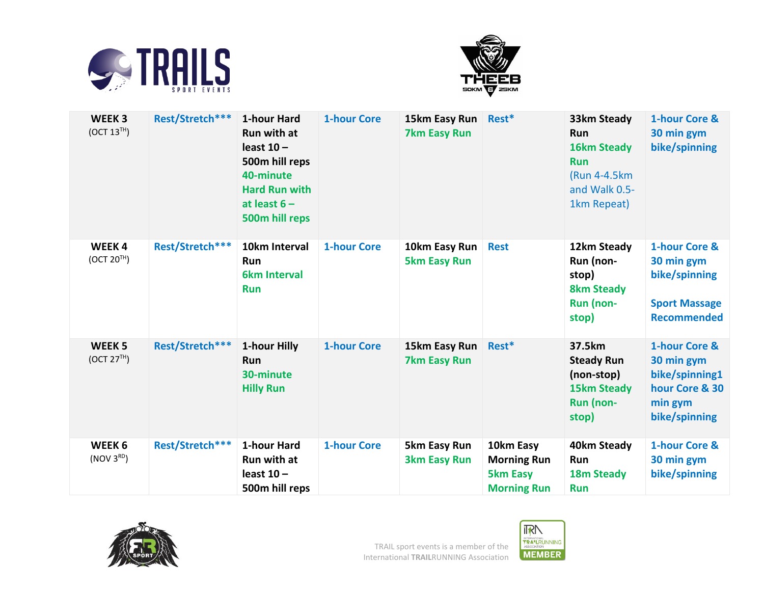



| WEEK <sub>3</sub><br>(OCT 13 <sup>TH</sup> ) | Rest/Stretch*** | 1-hour Hard<br><b>Run with at</b><br>least $10 -$<br>500m hill reps<br>40-minute<br><b>Hard Run with</b><br>at least $6 -$<br>500m hill reps | <b>1-hour Core</b> | 15km Easy Run<br><b>7km Easy Run</b> | Rest*                                                                    | 33km Steady<br><b>Run</b><br><b>16km Steady</b><br><b>Run</b><br>(Run 4-4.5km<br>and Walk 0.5-<br>1km Repeat) | 1-hour Core &<br>30 min gym<br>bike/spinning                                                |
|----------------------------------------------|-----------------|----------------------------------------------------------------------------------------------------------------------------------------------|--------------------|--------------------------------------|--------------------------------------------------------------------------|---------------------------------------------------------------------------------------------------------------|---------------------------------------------------------------------------------------------|
| <b>WEEK4</b><br>(OCT 20 <sup>TH</sup> )      | Rest/Stretch*** | 10km Interval<br>Run<br><b>6km Interval</b><br><b>Run</b>                                                                                    | <b>1-hour Core</b> | 10km Easy Run<br><b>5km Easy Run</b> | <b>Rest</b>                                                              | 12km Steady<br>Run (non-<br>stop)<br><b>8km Steady</b><br>Run (non-<br>stop)                                  | 1-hour Core &<br>30 min gym<br>bike/spinning<br><b>Sport Massage</b><br><b>Recommended</b>  |
| WEEK <sub>5</sub><br>(OCT 27 <sup>TH</sup> ) | Rest/Stretch*** | 1-hour Hilly<br>Run<br>30-minute<br><b>Hilly Run</b>                                                                                         | <b>1-hour Core</b> | 15km Easy Run<br><b>7km Easy Run</b> | Rest*                                                                    | 37.5km<br><b>Steady Run</b><br>(non-stop)<br><b>15km Steady</b><br>Run (non-<br>stop)                         | 1-hour Core &<br>30 min gym<br>bike/spinning1<br>hour Core & 30<br>min gym<br>bike/spinning |
| WEEK <sub>6</sub><br>(NOV 3 <sup>RD</sup> )  | Rest/Stretch*** | 1-hour Hard<br>Run with at<br>least $10 -$<br>500m hill reps                                                                                 | <b>1-hour Core</b> | 5km Easy Run<br><b>3km Easy Run</b>  | 10km Easy<br><b>Morning Run</b><br><b>5km Easy</b><br><b>Morning Run</b> | 40km Steady<br>Run<br>18m Steady<br><b>Run</b>                                                                | 1-hour Core &<br>30 min gym<br>bike/spinning                                                |



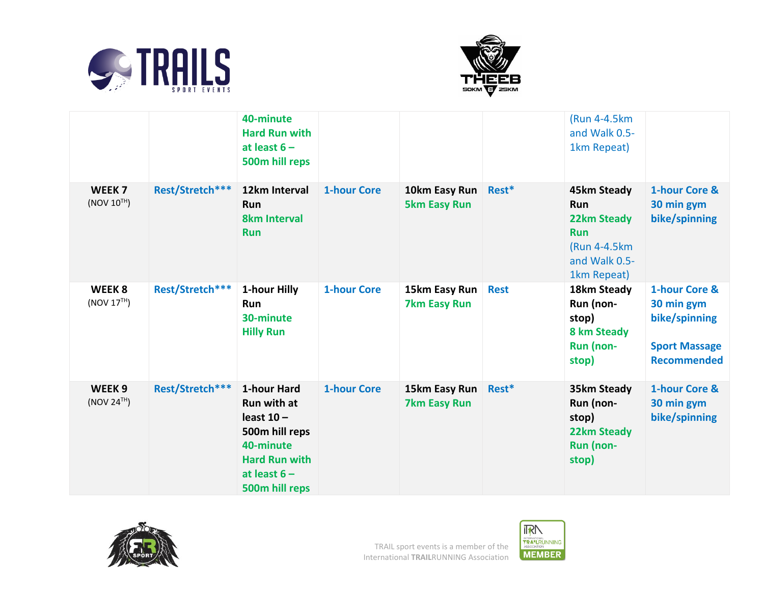



|                                              |                 | 40-minute<br><b>Hard Run with</b><br>at least $6 -$<br>500m hill reps                                                                        |                    |                                      |             | (Run 4-4.5km<br>and Walk 0.5-<br>1km Repeat)                                                                  |                                                                                            |
|----------------------------------------------|-----------------|----------------------------------------------------------------------------------------------------------------------------------------------|--------------------|--------------------------------------|-------------|---------------------------------------------------------------------------------------------------------------|--------------------------------------------------------------------------------------------|
| WEEK <sub>7</sub><br>(NOV 10 <sup>TH</sup> ) | Rest/Stretch*** | 12km Interval<br>Run<br><b>8km Interval</b><br><b>Run</b>                                                                                    | <b>1-hour Core</b> | 10km Easy Run<br><b>5km Easy Run</b> | Rest*       | 45km Steady<br><b>Run</b><br><b>22km Steady</b><br><b>Run</b><br>(Run 4-4.5km<br>and Walk 0.5-<br>1km Repeat) | 1-hour Core &<br>30 min gym<br>bike/spinning                                               |
| WEEK <sub>8</sub><br>(NOV 17 <sup>TH</sup> ) | Rest/Stretch*** | 1-hour Hilly<br>Run<br>30-minute<br><b>Hilly Run</b>                                                                                         | <b>1-hour Core</b> | 15km Easy Run<br><b>7km Easy Run</b> | <b>Rest</b> | 18km Steady<br>Run (non-<br>stop)<br>8 km Steady<br><b>Run (non-</b><br>stop)                                 | 1-hour Core &<br>30 min gym<br>bike/spinning<br><b>Sport Massage</b><br><b>Recommended</b> |
| WEEK <sub>9</sub><br>(NOV 24 <sup>TH</sup> ) | Rest/Stretch*** | 1-hour Hard<br><b>Run with at</b><br>least $10 -$<br>500m hill reps<br>40-minute<br><b>Hard Run with</b><br>at least $6 -$<br>500m hill reps | <b>1-hour Core</b> | 15km Easy Run<br><b>7km Easy Run</b> | Rest*       | 35km Steady<br>Run (non-<br>stop)<br><b>22km Steady</b><br>Run (non-<br>stop)                                 | 1-hour Core &<br>30 min gym<br>bike/spinning                                               |



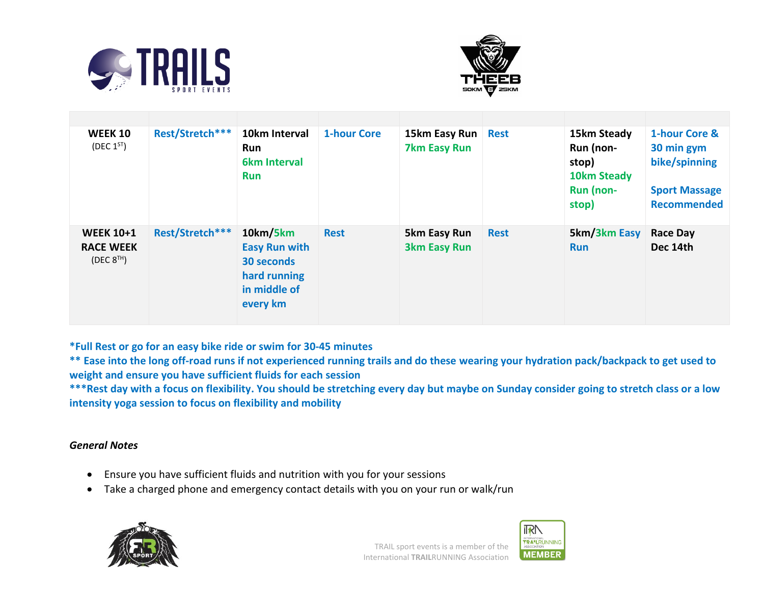



| <b>WEEK 10</b><br>(DEC $1^{ST}$ )                       | Rest/Stretch*** | 10km Interval<br><b>Run</b><br><b>6km Interval</b><br><b>Run</b>                           | <b>1-hour Core</b> | 15km Easy Run<br><b>7km Easy Run</b> | <b>Rest</b> | 15km Steady<br>Run (non-<br>stop)<br>10km Steady<br>Run (non-<br>stop) | 1-hour Core &<br>30 min gym<br>bike/spinning<br><b>Sport Massage</b><br><b>Recommended</b> |
|---------------------------------------------------------|-----------------|--------------------------------------------------------------------------------------------|--------------------|--------------------------------------|-------------|------------------------------------------------------------------------|--------------------------------------------------------------------------------------------|
| <b>WEEK 10+1</b><br><b>RACE WEEK</b><br>(DEC $8^{TH}$ ) | Rest/Stretch*** | 10km/5km<br><b>Easy Run with</b><br>30 seconds<br>hard running<br>in middle of<br>every km | <b>Rest</b>        | 5km Easy Run<br><b>3km Easy Run</b>  | <b>Rest</b> | 5km/3km Easy<br><b>Run</b>                                             | <b>Race Day</b><br>Dec 14th                                                                |

**\*Full Rest or go for an easy bike ride or swim for 30-45 minutes**

**\*\* Ease into the long off-road runs if not experienced running trails and do these wearing your hydration pack/backpack to get used to weight and ensure you have sufficient fluids for each session**

**\*\*\*Rest day with a focus on flexibility. You should be stretching every day but maybe on Sunday consider going to stretch class or a low intensity yoga session to focus on flexibility and mobility**

# *General Notes*

- Ensure you have sufficient fluids and nutrition with you for your sessions
- Take a charged phone and emergency contact details with you on your run or walk/run





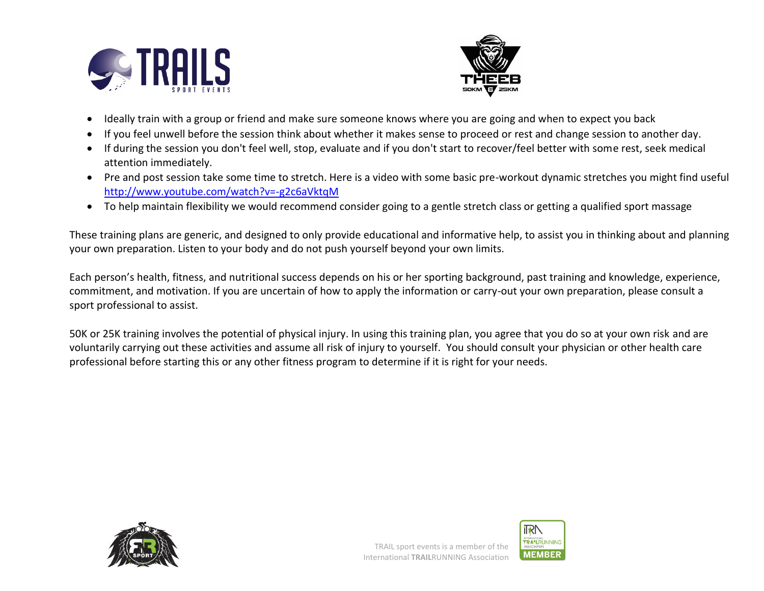



- Ideally train with a group or friend and make sure someone knows where you are going and when to expect you back
- If you feel unwell before the session think about whether it makes sense to proceed or rest and change session to another day.
- If during the session you don't feel well, stop, evaluate and if you don't start to recover/feel better with some rest, seek medical attention immediately.
- Pre and post session take some time to stretch. Here is a video with some basic pre-workout dynamic stretches you might find useful <http://www.youtube.com/watch?v=-g2c6aVktqM>
- To help maintain flexibility we would recommend consider going to a gentle stretch class or getting a qualified sport massage

These training plans are generic, and designed to only provide educational and informative help, to assist you in thinking about and planning your own preparation. Listen to your body and do not push yourself beyond your own limits.

Each person's health, fitness, and nutritional success depends on his or her sporting background, past training and knowledge, experience, commitment, and motivation. If you are uncertain of how to apply the information or carry-out your own preparation, please consult a sport professional to assist.

50K or 25K training involves the potential of physical injury. In using this training plan, you agree that you do so at your own risk and are voluntarily carrying out these activities and assume all risk of injury to yourself. You should consult your physician or other health care professional before starting this or any other fitness program to determine if it is right for your needs.



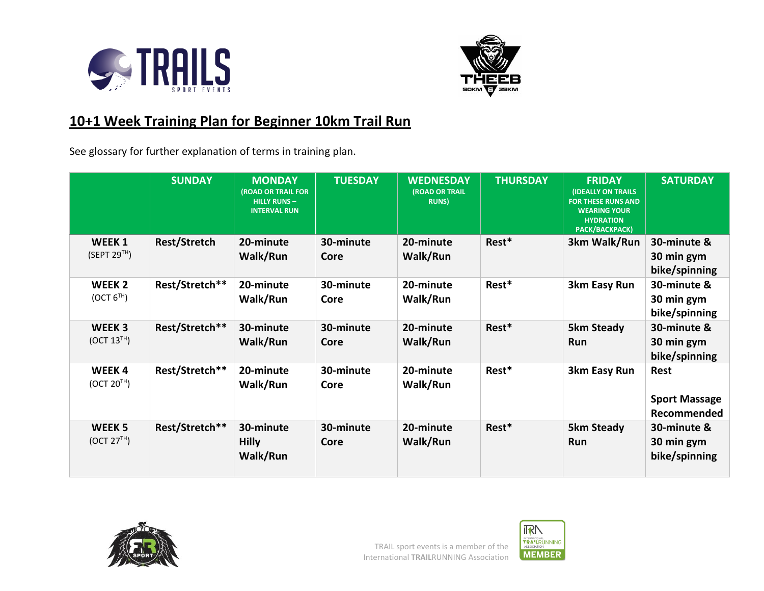



# **10+1 Week Training Plan for Beginner 10km Trail Run**

See glossary for further explanation of terms in training plan.

|                                               | <b>SUNDAY</b>       | <b>MONDAY</b><br><b>(ROAD OR TRAIL FOR</b><br><b>HILLY RUNS-</b><br><b>INTERVAL RUN</b> | <b>TUESDAY</b>    | <b>WEDNESDAY</b><br>(ROAD OR TRAIL<br><b>RUNS</b> ) | <b>THURSDAY</b> | <b>FRIDAY</b><br><b>(IDEALLY ON TRAILS)</b><br><b>FOR THESE RUNS AND</b><br><b>WEARING YOUR</b><br><b>HYDRATION</b><br>PACK/BACKPACK) | <b>SATURDAY</b>                             |
|-----------------------------------------------|---------------------|-----------------------------------------------------------------------------------------|-------------------|-----------------------------------------------------|-----------------|---------------------------------------------------------------------------------------------------------------------------------------|---------------------------------------------|
| WEEK <sub>1</sub><br>(SEPT 29 <sup>TH</sup> ) | <b>Rest/Stretch</b> | 20-minute<br>Walk/Run                                                                   | 30-minute<br>Core | 20-minute<br>Walk/Run                               | Rest*           | 3km Walk/Run                                                                                                                          | 30-minute &<br>30 min gym<br>bike/spinning  |
| WEEK <sub>2</sub><br>(OCT 6 <sup>TH</sup> )   | Rest/Stretch**      | 20-minute<br>Walk/Run                                                                   | 30-minute<br>Core | 20-minute<br>Walk/Run                               | Rest*           | 3km Easy Run                                                                                                                          | 30-minute &<br>30 min gym<br>bike/spinning  |
| WEEK <sub>3</sub><br>(OCT 13 <sup>TH</sup> )  | Rest/Stretch**      | 30-minute<br>Walk/Run                                                                   | 30-minute<br>Core | 20-minute<br>Walk/Run                               | Rest*           | <b>5km Steady</b><br>Run                                                                                                              | 30-minute &<br>30 min gym<br>bike/spinning  |
| WEEK4<br>(OCT 20 <sup>TH</sup> )              | Rest/Stretch**      | 20-minute<br>Walk/Run                                                                   | 30-minute<br>Core | 20-minute<br>Walk/Run                               | Rest*           | 3km Easy Run                                                                                                                          | Rest<br><b>Sport Massage</b><br>Recommended |
| WEEK <sub>5</sub><br>(OCT 27 <sup>TH</sup> )  | Rest/Stretch**      | 30-minute<br><b>Hilly</b><br>Walk/Run                                                   | 30-minute<br>Core | 20-minute<br>Walk/Run                               | Rest*           | <b>5km Steady</b><br>Run                                                                                                              | 30-minute &<br>30 min gym<br>bike/spinning  |



**IRN** INTERNATIONAL<br>TRA<sup>N</sup>LRUNNING<br>ASSOCIATION **MEMBER**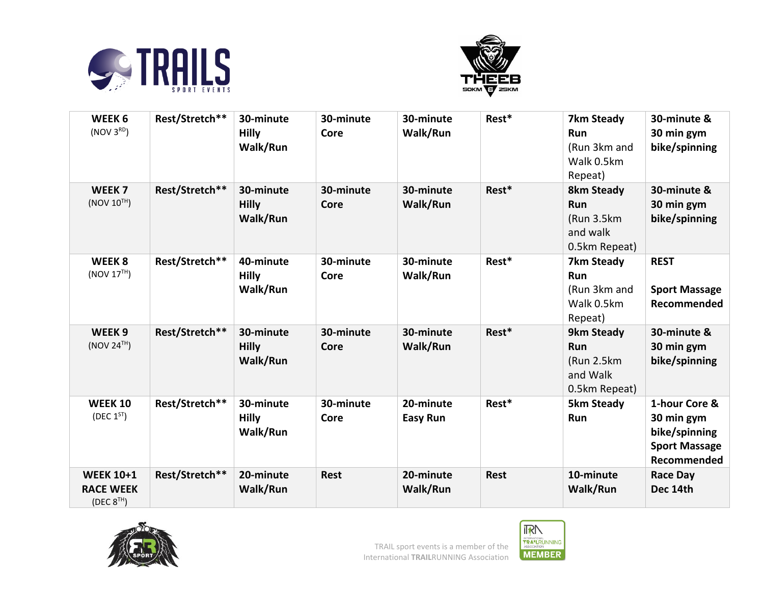



| WEEK 6<br>(NOV 3 <sup>RD</sup> )                               | Rest/Stretch** | 30-minute<br><b>Hilly</b><br>Walk/Run | 30-minute<br>Core | 30-minute<br>Walk/Run        | Rest*       | 7km Steady<br>Run<br>(Run 3km and<br>Walk 0.5km<br>Repeat)          | 30-minute &<br>30 min gym<br>bike/spinning                                          |
|----------------------------------------------------------------|----------------|---------------------------------------|-------------------|------------------------------|-------------|---------------------------------------------------------------------|-------------------------------------------------------------------------------------|
| WEEK <sub>7</sub><br>(NOV 10 <sup>TH</sup> )                   | Rest/Stretch** | 30-minute<br><b>Hilly</b><br>Walk/Run | 30-minute<br>Core | 30-minute<br>Walk/Run        | Rest*       | <b>8km Steady</b><br>Run<br>(Run 3.5km<br>and walk<br>0.5km Repeat) | 30-minute &<br>30 min gym<br>bike/spinning                                          |
| WEEK <sub>8</sub><br>(NOV 17 <sup>TH</sup> )                   | Rest/Stretch** | 40-minute<br><b>Hilly</b><br>Walk/Run | 30-minute<br>Core | 30-minute<br>Walk/Run        | Rest*       | 7km Steady<br>Run<br>(Run 3km and<br>Walk 0.5km<br>Repeat)          | <b>REST</b><br><b>Sport Massage</b><br>Recommended                                  |
| WEEK <sub>9</sub><br>(NOV 24 <sup>TH</sup> )                   | Rest/Stretch** | 30-minute<br><b>Hilly</b><br>Walk/Run | 30-minute<br>Core | 30-minute<br>Walk/Run        | Rest*       | 9km Steady<br><b>Run</b><br>(Run 2.5km<br>and Walk<br>0.5km Repeat) | 30-minute &<br>30 min gym<br>bike/spinning                                          |
| <b>WEEK 10</b><br>(DEC $1^{ST}$ )                              | Rest/Stretch** | 30-minute<br><b>Hilly</b><br>Walk/Run | 30-minute<br>Core | 20-minute<br><b>Easy Run</b> | Rest*       | <b>5km Steady</b><br>Run                                            | 1-hour Core &<br>30 min gym<br>bike/spinning<br><b>Sport Massage</b><br>Recommended |
| <b>WEEK 10+1</b><br><b>RACE WEEK</b><br>(DEC 8 <sup>TH</sup> ) | Rest/Stretch** | 20-minute<br>Walk/Run                 | <b>Rest</b>       | 20-minute<br>Walk/Run        | <b>Rest</b> | 10-minute<br>Walk/Run                                               | <b>Race Day</b><br>Dec 14th                                                         |



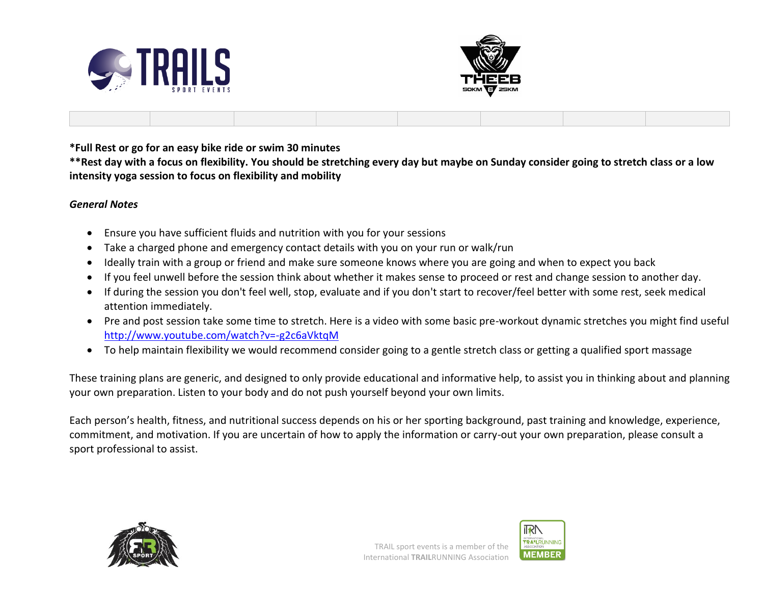



**\*Full Rest or go for an easy bike ride or swim 30 minutes**

**\*\*Rest day with a focus on flexibility. You should be stretching every day but maybe on Sunday consider going to stretch class or a low intensity yoga session to focus on flexibility and mobility**

#### *General Notes*

- Ensure you have sufficient fluids and nutrition with you for your sessions
- Take a charged phone and emergency contact details with you on your run or walk/run
- Ideally train with a group or friend and make sure someone knows where you are going and when to expect you back
- If you feel unwell before the session think about whether it makes sense to proceed or rest and change session to another day.
- If during the session you don't feel well, stop, evaluate and if you don't start to recover/feel better with some rest, seek medical attention immediately.
- Pre and post session take some time to stretch. Here is a video with some basic pre-workout dynamic stretches you might find useful <http://www.youtube.com/watch?v=-g2c6aVktqM>
- To help maintain flexibility we would recommend consider going to a gentle stretch class or getting a qualified sport massage

These training plans are generic, and designed to only provide educational and informative help, to assist you in thinking about and planning your own preparation. Listen to your body and do not push yourself beyond your own limits.

Each person's health, fitness, and nutritional success depends on his or her sporting background, past training and knowledge, experience, commitment, and motivation. If you are uncertain of how to apply the information or carry-out your own preparation, please consult a sport professional to assist.



**IRN TRA'L**RUNNING **MEMBER**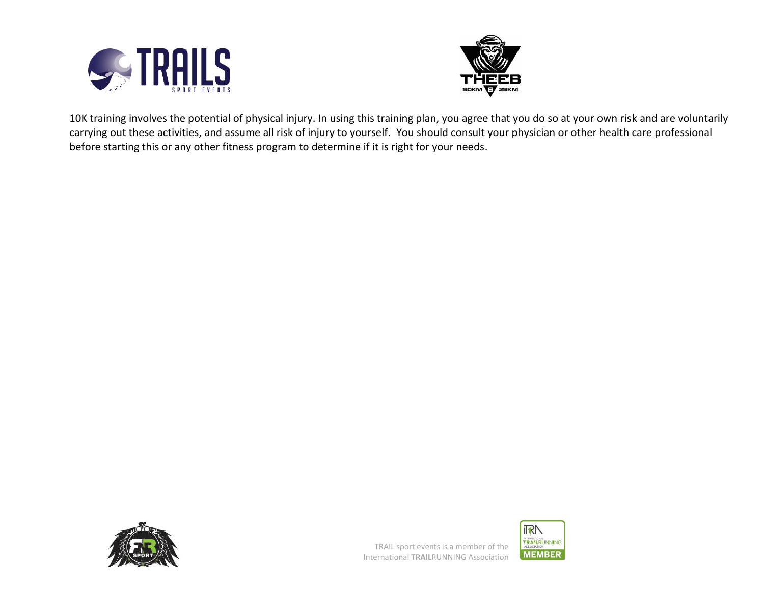



10K training involves the potential of physical injury. In using this training plan, you agree that you do so at your own risk and are voluntarily carrying out these activities, and assume all risk of injury to yourself. You should consult your physician or other health care professional before starting this or any other fitness program to determine if it is right for your needs.



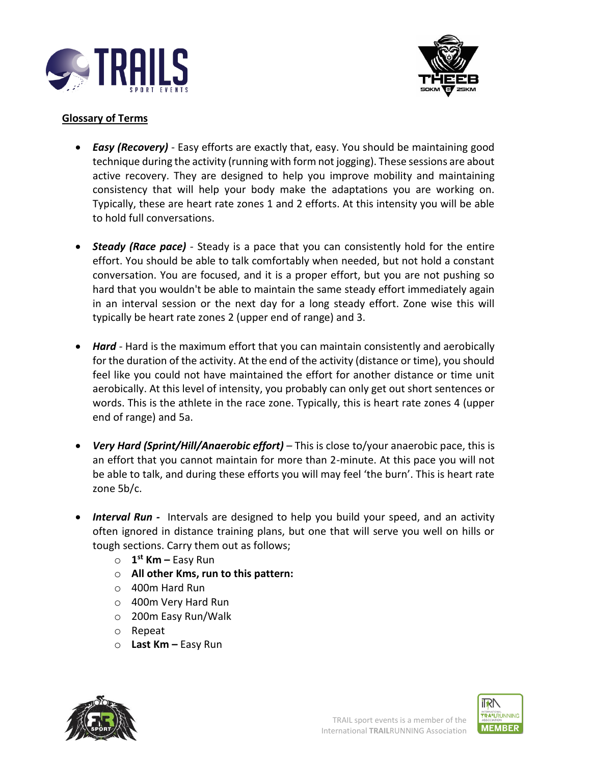



# **Glossary of Terms**

- *Easy (Recovery) -* Easy efforts are exactly that, easy. You should be maintaining good technique during the activity (running with form not jogging). These sessions are about active recovery. They are designed to help you improve mobility and maintaining consistency that will help your body make the adaptations you are working on. Typically, these are heart rate zones 1 and 2 efforts. At this intensity you will be able to hold full conversations.
- *Steady (Race pace) -* Steady is a pace that you can consistently hold for the entire effort. You should be able to talk comfortably when needed, but not hold a constant conversation. You are focused, and it is a proper effort, but you are not pushing so hard that you wouldn't be able to maintain the same steady effort immediately again in an interval session or the next day for a long steady effort. Zone wise this will typically be heart rate zones 2 (upper end of range) and 3.
- *Hard -* Hard is the maximum effort that you can maintain consistently and aerobically for the duration of the activity. At the end of the activity (distance or time), you should feel like you could not have maintained the effort for another distance or time unit aerobically. At this level of intensity, you probably can only get out short sentences or words. This is the athlete in the race zone. Typically, this is heart rate zones 4 (upper end of range) and 5a.
- *Very Hard (Sprint/Hill/Anaerobic effort) –* This is close to/your anaerobic pace, this is an effort that you cannot maintain for more than 2-minute. At this pace you will not be able to talk, and during these efforts you will may feel 'the burn'. This is heart rate zone 5b/c.
- *Interval Run* Intervals are designed to help you build your speed, and an activity often ignored in distance training plans, but one that will serve you well on hills or tough sections. Carry them out as follows;
	- o **1 st Km –** Easy Run
	- o **All other Kms, run to this pattern:**
	- o 400m Hard Run
	- o 400m Very Hard Run
	- o 200m Easy Run/Walk
	- o Repeat
	- o **Last Km –** Easy Run